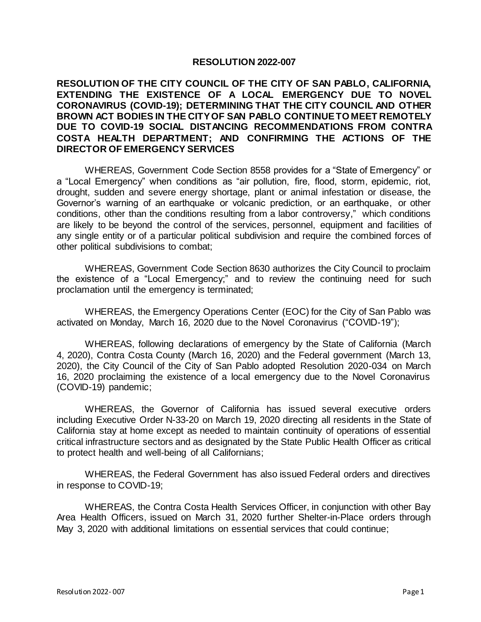## **RESOLUTION 2022-007**

## **RESOLUTION OF THE CITY COUNCIL OF THE CITY OF SAN PABLO, CALIFORNIA, EXTENDING THE EXISTENCE OF A LOCAL EMERGENCY DUE TO NOVEL CORONAVIRUS (COVID-19); DETERMINING THAT THE CITY COUNCIL AND OTHER BROWN ACT BODIES IN THE CITY OF SAN PABLO CONTINUE TO MEET REMOTELY DUE TO COVID-19 SOCIAL DISTANCING RECOMMENDATIONS FROM CONTRA COSTA HEALTH DEPARTMENT; AND CONFIRMING THE ACTIONS OF THE DIRECTOR OF EMERGENCY SERVICES**

WHEREAS, Government Code Section 8558 provides for a "State of Emergency" or a "Local Emergency" when conditions as "air pollution, fire, flood, storm, epidemic, riot, drought, sudden and severe energy shortage, plant or animal infestation or disease, the Governor's warning of an earthquake or volcanic prediction, or an earthquake, or other conditions, other than the conditions resulting from a labor controversy," which conditions are likely to be beyond the control of the services, personnel, equipment and facilities of any single entity or of a particular political subdivision and require the combined forces of other political subdivisions to combat;

WHEREAS, Government Code Section 8630 authorizes the City Council to proclaim the existence of a "Local Emergency;" and to review the continuing need for such proclamation until the emergency is terminated;

WHEREAS, the Emergency Operations Center (EOC) for the City of San Pablo was activated on Monday, March 16, 2020 due to the Novel Coronavirus ("COVID-19");

WHEREAS, following declarations of emergency by the State of California (March 4, 2020), Contra Costa County (March 16, 2020) and the Federal government (March 13, 2020), the City Council of the City of San Pablo adopted Resolution 2020-034 on March 16, 2020 proclaiming the existence of a local emergency due to the Novel Coronavirus (COVID-19) pandemic;

WHEREAS, the Governor of California has issued several executive orders including Executive Order N-33-20 on March 19, 2020 directing all residents in the State of California stay at home except as needed to maintain continuity of operations of essential critical infrastructure sectors and as designated by the State Public Health Officer as critical to protect health and well-being of all Californians;

WHEREAS, the Federal Government has also issued Federal orders and directives in response to COVID-19;

WHEREAS, the Contra Costa Health Services Officer, in conjunction with other Bay Area Health Officers, issued on March 31, 2020 further Shelter-in-Place orders through May 3, 2020 with additional limitations on essential services that could continue;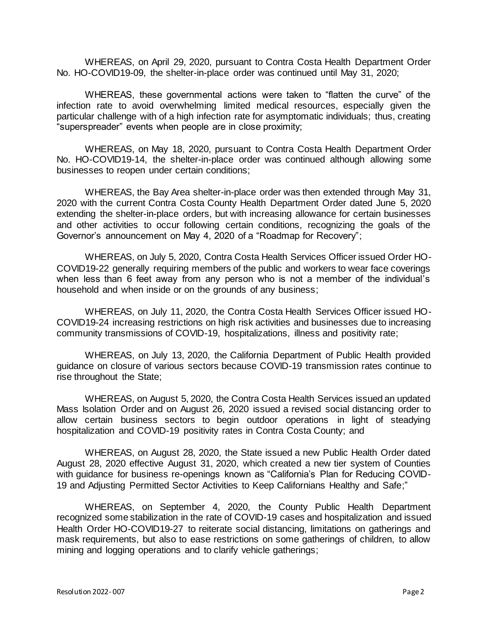WHEREAS, on April 29, 2020, pursuant to Contra Costa Health Department Order No. HO-COVID19-09, the shelter-in-place order was continued until May 31, 2020;

WHEREAS, these governmental actions were taken to "flatten the curve" of the infection rate to avoid overwhelming limited medical resources, especially given the particular challenge with of a high infection rate for asymptomatic individuals; thus, creating "superspreader" events when people are in close proximity;

WHEREAS, on May 18, 2020, pursuant to Contra Costa Health Department Order No. HO-COVID19-14, the shelter-in-place order was continued although allowing some businesses to reopen under certain conditions;

WHEREAS, the Bay Area shelter-in-place order was then extended through May 31, 2020 with the current Contra Costa County Health Department Order dated June 5, 2020 extending the shelter-in-place orders, but with increasing allowance for certain businesses and other activities to occur following certain conditions, recognizing the goals of the Governor's announcement on May 4, 2020 of a "Roadmap for Recovery";

WHEREAS, on July 5, 2020, Contra Costa Health Services Officer issued Order HO-COVID19-22 generally requiring members of the public and workers to wear face coverings when less than 6 feet away from any person who is not a member of the individual's household and when inside or on the grounds of any business;

WHEREAS, on July 11, 2020, the Contra Costa Health Services Officer issued HO-COVID19-24 increasing restrictions on high risk activities and businesses due to increasing community transmissions of COVID-19, hospitalizations, illness and positivity rate;

WHEREAS, on July 13, 2020, the California Department of Public Health provided guidance on closure of various sectors because COVID-19 transmission rates continue to rise throughout the State;

WHEREAS, on August 5, 2020, the Contra Costa Health Services issued an updated Mass Isolation Order and on August 26, 2020 issued a revised social distancing order to allow certain business sectors to begin outdoor operations in light of steadying hospitalization and COVID-19 positivity rates in Contra Costa County; and

WHEREAS, on August 28, 2020, the State issued a new Public Health Order dated August 28, 2020 effective August 31, 2020, which created a new tier system of Counties with guidance for business re-openings known as "California's Plan for Reducing COVID-19 and Adjusting Permitted Sector Activities to Keep Californians Healthy and Safe;"

WHEREAS, on September 4, 2020, the County Public Health Department recognized some stabilization in the rate of COVID-19 cases and hospitalization and issued Health Order HO-COVID19-27 to reiterate social distancing, limitations on gatherings and mask requirements, but also to ease restrictions on some gatherings of children, to allow mining and logging operations and to clarify vehicle gatherings;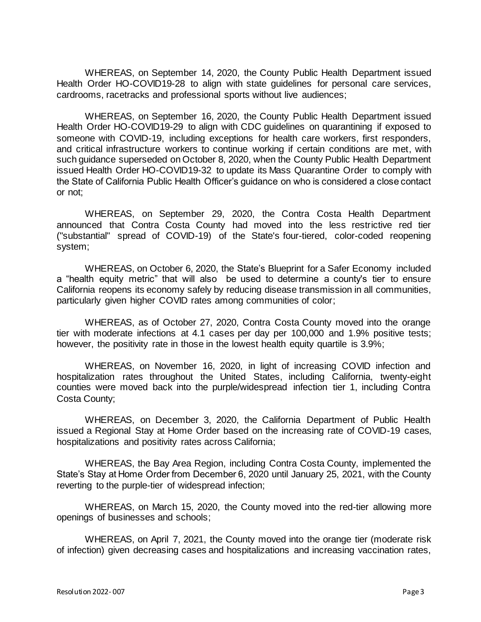WHEREAS, on September 14, 2020, the County Public Health Department issued Health Order HO-COVID19-28 to align with state guidelines for personal care services, cardrooms, racetracks and professional sports without live audiences;

WHEREAS, on September 16, 2020, the County Public Health Department issued Health Order HO-COVID19-29 to align with CDC guidelines on quarantining if exposed to someone with COVID-19, including exceptions for health care workers, first responders, and critical infrastructure workers to continue working if certain conditions are met, with such guidance superseded on October 8, 2020, when the County Public Health Department issued Health Order HO-COVID19-32 to update its Mass Quarantine Order to comply with the State of California Public Health Officer's guidance on who is considered a close contact or not;

WHEREAS, on September 29, 2020, the Contra Costa Health Department announced that Contra Costa County had moved into the less restrictive red tier ("substantial" spread of COVID-19) of the State's [four-tiered, color-coded reopening](https://covid19.ca.gov/safer-economy/)  [system;](https://covid19.ca.gov/safer-economy/)

WHEREAS, on October 6, 2020, the State's [Blueprint for a Safer Economy](https://www.cdph.ca.gov/Programs/CID/DCDC/Pages/COVID-19/COVID19CountyMonitoringOverview.aspx) included a "health equity metric" that will also be used to determine a county's tier to ensure California reopens its economy safely by reducing disease transmission in all communities, particularly given higher COVID rates among communities of color;

WHEREAS, as of October 27, 2020, Contra Costa County moved into the orange tier with moderate infections at 4.1 cases per day per 100,000 and 1.9% positive tests; however, the positivity rate in those in the lowest health equity quartile is 3.9%;

WHEREAS, on November 16, 2020, in light of increasing COVID infection and hospitalization rates throughout the United States, including California, twenty-eight counties were moved back into the purple/widespread infection tier 1, including Contra Costa County;

WHEREAS, on December 3, 2020, the California Department of Public Health issued a Regional Stay at Home Order based on the increasing rate of COVID-19 cases, hospitalizations and positivity rates across California;

WHEREAS, the Bay Area Region, including Contra Costa County, implemented the State's Stay at Home Order from December 6, 2020 until January 25, 2021, with the County reverting to the purple-tier of widespread infection;

WHEREAS, on March 15, 2020, the County moved into the red-tier allowing more openings of businesses and schools;

WHEREAS, on April 7, 2021, the County moved into the orange tier (moderate risk of infection) given decreasing cases and hospitalizations and increasing vaccination rates,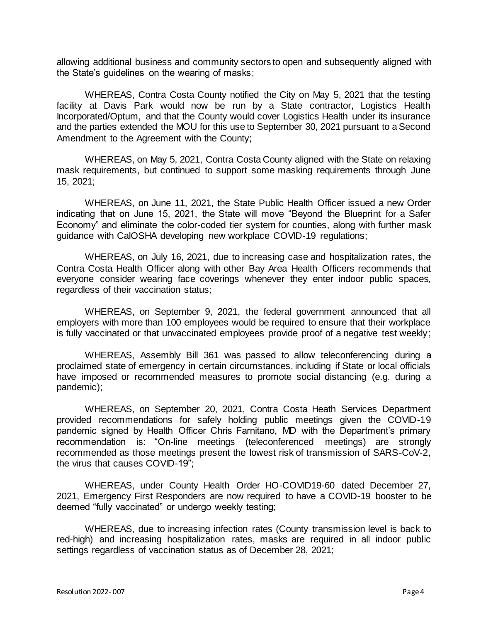allowing additional business and community sectors to open and subsequently aligned with the State's guidelines on the wearing of masks;

WHEREAS, Contra Costa County notified the City on May 5, 2021 that the testing facility at Davis Park would now be run by a State contractor, Logistics Health Incorporated/Optum, and that the County would cover Logistics Health under its insurance and the parties extended the MOU for this use to September 30, 2021 pursuant to a Second Amendment to the Agreement with the County;

WHEREAS, on May 5, 2021, Contra Costa County aligned with the State on relaxing mask requirements, but continued to support some masking requirements through June 15, 2021;

WHEREAS, on June 11, 2021, the State Public Health Officer issued a new Order indicating that on June 15, 2021, the State will move "Beyond the Blueprint for a Safer Economy" and eliminate the color-coded tier system for counties, along with further mask guidance with CalOSHA developing new workplace COVID-19 regulations;

WHEREAS, on July 16, 2021, due to increasing case and hospitalization rates, the Contra Costa Health Officer along with other Bay Area Health Officers recommends that everyone consider wearing face coverings whenever they enter indoor public spaces, regardless of their vaccination status;

WHEREAS, on September 9, 2021, the federal government announced that all employers with more than 100 employees would be required to ensure that their workplace is fully vaccinated or that unvaccinated employees provide proof of a negative test weekly;

WHEREAS, Assembly Bill 361 was passed to allow teleconferencing during a proclaimed state of emergency in certain circumstances, including if State or local officials have imposed or recommended measures to promote social distancing (e.g. during a pandemic);

WHEREAS, on September 20, 2021, Contra Costa Heath Services Department provided recommendations for safely holding public meetings given the COVID-19 pandemic signed by Health Officer Chris Farnitano, MD with the Department's primary recommendation is: "On-line meetings (teleconferenced meetings) are strongly recommended as those meetings present the lowest risk of transmission of SARS-CoV-2, the virus that causes COVID-19";

WHEREAS, under County Health Order HO-COVID19-60 dated December 27, 2021, Emergency First Responders are now required to have a COVID-19 booster to be deemed "fully vaccinated" or undergo weekly testing;

WHEREAS, due to increasing infection rates (County transmission level is back to red-high) and increasing hospitalization rates, masks are required in all indoor public settings regardless of vaccination status as of December 28, 2021;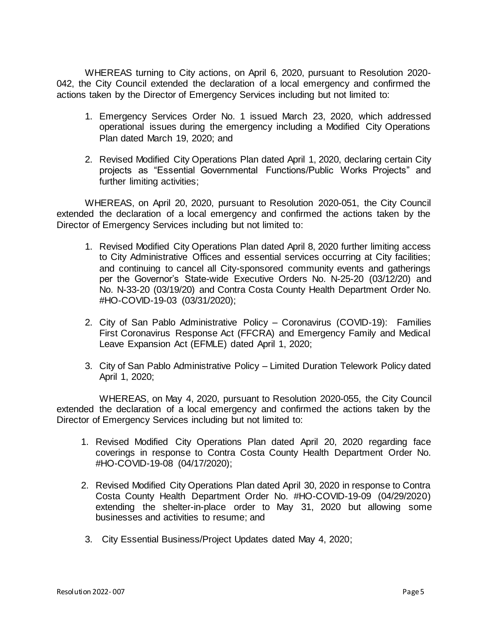WHEREAS turning to City actions, on April 6, 2020, pursuant to Resolution 2020- 042, the City Council extended the declaration of a local emergency and confirmed the actions taken by the Director of Emergency Services including but not limited to:

- 1. Emergency Services Order No. 1 issued March 23, 2020, which addressed operational issues during the emergency including a Modified City Operations Plan dated March 19, 2020; and
- 2. Revised Modified City Operations Plan dated April 1, 2020, declaring certain City projects as "Essential Governmental Functions/Public Works Projects" and further limiting activities;

WHEREAS, on April 20, 2020, pursuant to Resolution 2020-051, the City Council extended the declaration of a local emergency and confirmed the actions taken by the Director of Emergency Services including but not limited to:

- 1. Revised Modified City Operations Plan dated April 8, 2020 further limiting access to City Administrative Offices and essential services occurring at City facilities; and continuing to cancel all City-sponsored community events and gatherings per the Governor's State-wide Executive Orders No. N-25-20 (03/12/20) and No. N-33-20 (03/19/20) and Contra Costa County Health Department Order No. #HO-COVID-19-03 (03/31/2020);
- 2. City of San Pablo Administrative Policy Coronavirus (COVID-19): Families First Coronavirus Response Act (FFCRA) and Emergency Family and Medical Leave Expansion Act (EFMLE) dated April 1, 2020;
- 3. City of San Pablo Administrative Policy Limited Duration Telework Policy dated April 1, 2020;

WHEREAS, on May 4, 2020, pursuant to Resolution 2020-055, the City Council extended the declaration of a local emergency and confirmed the actions taken by the Director of Emergency Services including but not limited to:

- 1. Revised Modified City Operations Plan dated April 20, 2020 regarding face coverings in response to Contra Costa County Health Department Order No. #HO-COVID-19-08 (04/17/2020);
- 2. Revised Modified City Operations Plan dated April 30, 2020 in response to Contra Costa County Health Department Order No. #HO-COVID-19-09 (04/29/2020) extending the shelter-in-place order to May 31, 2020 but allowing some businesses and activities to resume; and
- 3. City Essential Business/Project Updates dated May 4, 2020;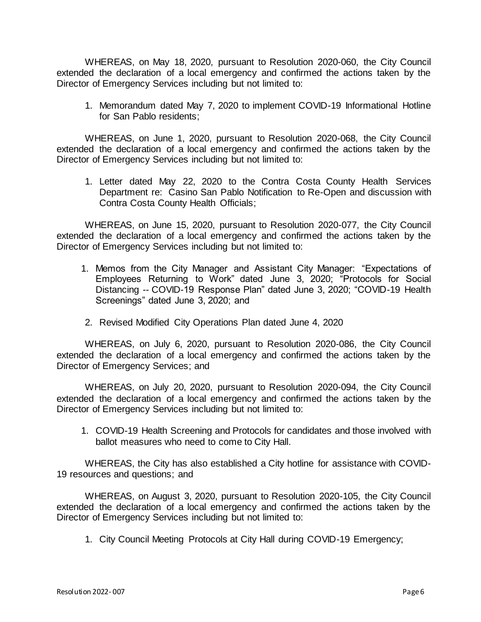WHEREAS, on May 18, 2020, pursuant to Resolution 2020-060, the City Council extended the declaration of a local emergency and confirmed the actions taken by the Director of Emergency Services including but not limited to:

1. Memorandum dated May 7, 2020 to implement COVID-19 Informational Hotline for San Pablo residents;

WHEREAS, on June 1, 2020, pursuant to Resolution 2020-068, the City Council extended the declaration of a local emergency and confirmed the actions taken by the Director of Emergency Services including but not limited to:

1. Letter dated May 22, 2020 to the Contra Costa County Health Services Department re: Casino San Pablo Notification to Re-Open and discussion with Contra Costa County Health Officials;

WHEREAS, on June 15, 2020, pursuant to Resolution 2020-077, the City Council extended the declaration of a local emergency and confirmed the actions taken by the Director of Emergency Services including but not limited to:

- 1. Memos from the City Manager and Assistant City Manager: "Expectations of Employees Returning to Work" dated June 3, 2020; "Protocols for Social Distancing -- COVID-19 Response Plan" dated June 3, 2020; "COVID-19 Health Screenings" dated June 3, 2020; and
- 2. Revised Modified City Operations Plan dated June 4, 2020

WHEREAS, on July 6, 2020, pursuant to Resolution 2020-086, the City Council extended the declaration of a local emergency and confirmed the actions taken by the Director of Emergency Services; and

WHEREAS, on July 20, 2020, pursuant to Resolution 2020-094, the City Council extended the declaration of a local emergency and confirmed the actions taken by the Director of Emergency Services including but not limited to:

1. COVID-19 Health Screening and Protocols for candidates and those involved with ballot measures who need to come to City Hall.

WHEREAS, the City has also established a City hotline for assistance with COVID-19 resources and questions; and

WHEREAS, on August 3, 2020, pursuant to Resolution 2020-105, the City Council extended the declaration of a local emergency and confirmed the actions taken by the Director of Emergency Services including but not limited to:

1. City Council Meeting Protocols at City Hall during COVID-19 Emergency;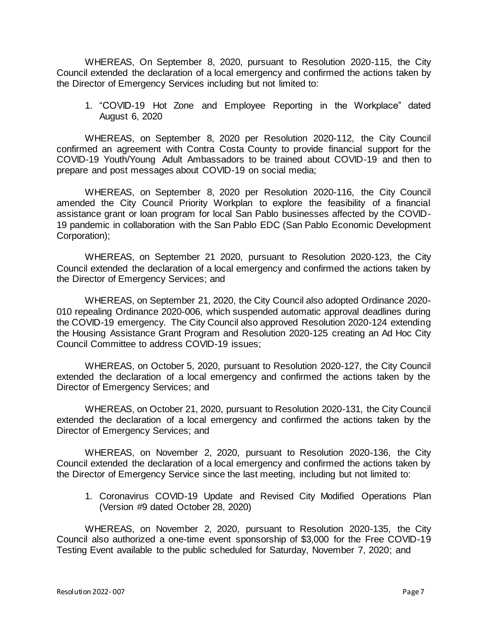WHEREAS, On September 8, 2020, pursuant to Resolution 2020-115, the City Council extended the declaration of a local emergency and confirmed the actions taken by the Director of Emergency Services including but not limited to:

1. "COVID-19 Hot Zone and Employee Reporting in the Workplace" dated August 6, 2020

WHEREAS, on September 8, 2020 per Resolution 2020-112, the City Council confirmed an agreement with Contra Costa County to provide financial support for the COVID-19 Youth/Young Adult Ambassadors to be trained about COVID-19 and then to prepare and post messages about COVID-19 on social media;

WHEREAS, on September 8, 2020 per Resolution 2020-116, the City Council amended the City Council Priority Workplan to explore the feasibility of a financial assistance grant or loan program for local San Pablo businesses affected by the COVID-19 pandemic in collaboration with the San Pablo EDC (San Pablo Economic Development Corporation);

WHEREAS, on September 21 2020, pursuant to Resolution 2020-123, the City Council extended the declaration of a local emergency and confirmed the actions taken by the Director of Emergency Services; and

WHEREAS, on September 21, 2020, the City Council also adopted Ordinance 2020- 010 repealing Ordinance 2020-006, which suspended automatic approval deadlines during the COVID-19 emergency. The City Council also approved Resolution 2020-124 extending the Housing Assistance Grant Program and Resolution 2020-125 creating an Ad Hoc City Council Committee to address COVID-19 issues;

WHEREAS, on October 5, 2020, pursuant to Resolution 2020-127, the City Council extended the declaration of a local emergency and confirmed the actions taken by the Director of Emergency Services; and

WHEREAS, on October 21, 2020, pursuant to Resolution 2020-131, the City Council extended the declaration of a local emergency and confirmed the actions taken by the Director of Emergency Services; and

WHEREAS, on November 2, 2020, pursuant to Resolution 2020-136, the City Council extended the declaration of a local emergency and confirmed the actions taken by the Director of Emergency Service since the last meeting, including but not limited to:

1. Coronavirus COVID-19 Update and Revised City Modified Operations Plan (Version #9 dated October 28, 2020)

WHEREAS, on November 2, 2020, pursuant to Resolution 2020-135, the City Council also authorized a one-time event sponsorship of \$3,000 for the Free COVID-19 Testing Event available to the public scheduled for Saturday, November 7, 2020; and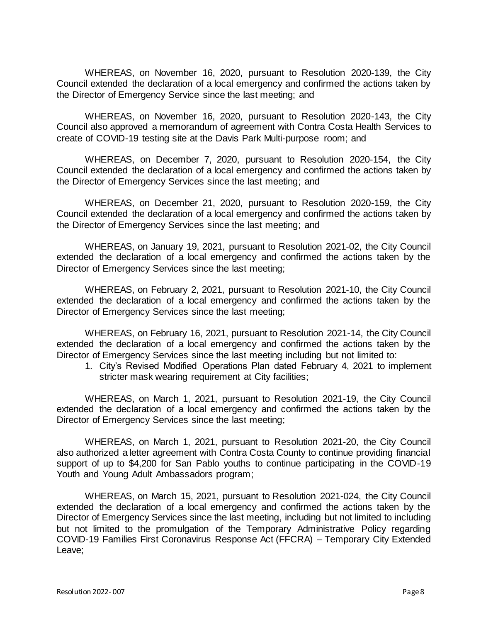WHEREAS, on November 16, 2020, pursuant to Resolution 2020-139, the City Council extended the declaration of a local emergency and confirmed the actions taken by the Director of Emergency Service since the last meeting; and

WHEREAS, on November 16, 2020, pursuant to Resolution 2020-143, the City Council also approved a memorandum of agreement with Contra Costa Health Services to create of COVID-19 testing site at the Davis Park Multi-purpose room; and

WHEREAS, on December 7, 2020, pursuant to Resolution 2020-154, the City Council extended the declaration of a local emergency and confirmed the actions taken by the Director of Emergency Services since the last meeting; and

WHEREAS, on December 21, 2020, pursuant to Resolution 2020-159, the City Council extended the declaration of a local emergency and confirmed the actions taken by the Director of Emergency Services since the last meeting; and

WHEREAS, on January 19, 2021, pursuant to Resolution 2021-02, the City Council extended the declaration of a local emergency and confirmed the actions taken by the Director of Emergency Services since the last meeting;

WHEREAS, on February 2, 2021, pursuant to Resolution 2021-10, the City Council extended the declaration of a local emergency and confirmed the actions taken by the Director of Emergency Services since the last meeting;

WHEREAS, on February 16, 2021, pursuant to Resolution 2021-14, the City Council extended the declaration of a local emergency and confirmed the actions taken by the Director of Emergency Services since the last meeting including but not limited to:

1. City's Revised Modified Operations Plan dated February 4, 2021 to implement stricter mask wearing requirement at City facilities;

WHEREAS, on March 1, 2021, pursuant to Resolution 2021-19, the City Council extended the declaration of a local emergency and confirmed the actions taken by the Director of Emergency Services since the last meeting;

WHEREAS, on March 1, 2021, pursuant to Resolution 2021-20, the City Council also authorized a letter agreement with Contra Costa County to continue providing financial support of up to \$4,200 for San Pablo youths to continue participating in the COVID-19 Youth and Young Adult Ambassadors program;

WHEREAS, on March 15, 2021, pursuant to Resolution 2021-024, the City Council extended the declaration of a local emergency and confirmed the actions taken by the Director of Emergency Services since the last meeting, including but not limited to including but not limited to the promulgation of the Temporary Administrative Policy regarding COVID-19 Families First Coronavirus Response Act (FFCRA) – Temporary City Extended Leave;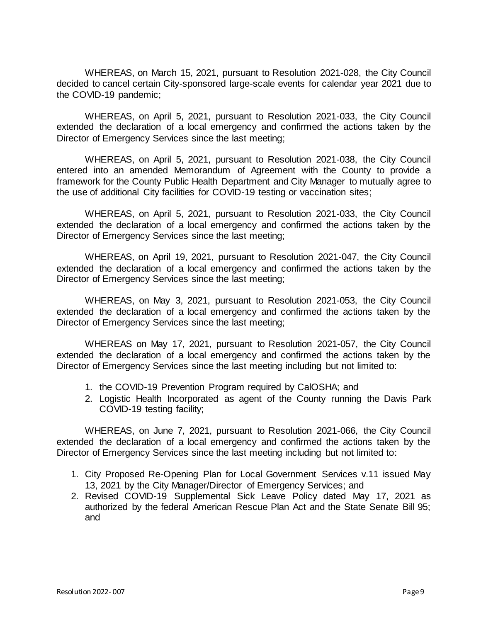WHEREAS, on March 15, 2021, pursuant to Resolution 2021-028, the City Council decided to cancel certain City-sponsored large-scale events for calendar year 2021 due to the COVID-19 pandemic;

WHEREAS, on April 5, 2021, pursuant to Resolution 2021-033, the City Council extended the declaration of a local emergency and confirmed the actions taken by the Director of Emergency Services since the last meeting;

WHEREAS, on April 5, 2021, pursuant to Resolution 2021-038, the City Council entered into an amended Memorandum of Agreement with the County to provide a framework for the County Public Health Department and City Manager to mutually agree to the use of additional City facilities for COVID-19 testing or vaccination sites;

WHEREAS, on April 5, 2021, pursuant to Resolution 2021-033, the City Council extended the declaration of a local emergency and confirmed the actions taken by the Director of Emergency Services since the last meeting;

WHEREAS, on April 19, 2021, pursuant to Resolution 2021-047, the City Council extended the declaration of a local emergency and confirmed the actions taken by the Director of Emergency Services since the last meeting;

WHEREAS, on May 3, 2021, pursuant to Resolution 2021-053, the City Council extended the declaration of a local emergency and confirmed the actions taken by the Director of Emergency Services since the last meeting;

WHEREAS on May 17, 2021, pursuant to Resolution 2021-057, the City Council extended the declaration of a local emergency and confirmed the actions taken by the Director of Emergency Services since the last meeting including but not limited to:

- 1. the COVID-19 Prevention Program required by CalOSHA; and
- 2. Logistic Health Incorporated as agent of the County running the Davis Park COVID-19 testing facility;

WHEREAS, on June 7, 2021, pursuant to Resolution 2021-066, the City Council extended the declaration of a local emergency and confirmed the actions taken by the Director of Emergency Services since the last meeting including but not limited to:

- 1. City Proposed Re-Opening Plan for Local Government Services v.11 issued May 13, 2021 by the City Manager/Director of Emergency Services; and
- 2. Revised COVID-19 Supplemental Sick Leave Policy dated May 17, 2021 as authorized by the federal American Rescue Plan Act and the State Senate Bill 95; and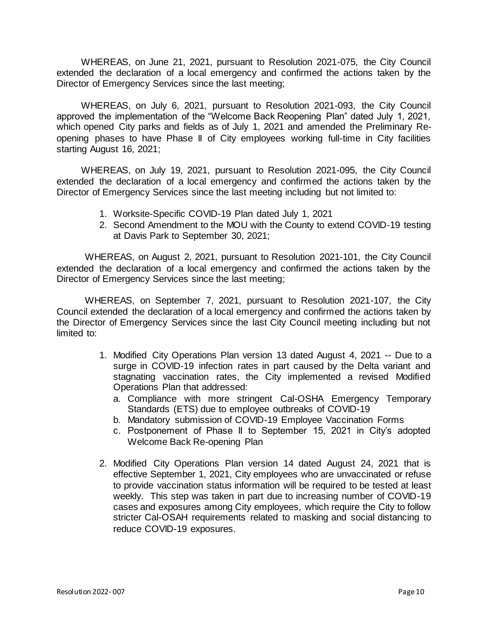WHEREAS, on June 21, 2021, pursuant to Resolution 2021-075, the City Council extended the declaration of a local emergency and confirmed the actions taken by the Director of Emergency Services since the last meeting;

WHEREAS, on July 6, 2021, pursuant to Resolution 2021-093, the City Council approved the implementation of the "Welcome Back Reopening Plan" dated July 1, 2021, which opened City parks and fields as of July 1, 2021 and amended the Preliminary Reopening phases to have Phase II of City employees working full-time in City facilities starting August 16, 2021;

WHEREAS, on July 19, 2021, pursuant to Resolution 2021-095, the City Council extended the declaration of a local emergency and confirmed the actions taken by the Director of Emergency Services since the last meeting including but not limited to:

- 1. Worksite-Specific COVID-19 Plan dated July 1, 2021
- 2. Second Amendment to the MOU with the County to extend COVID-19 testing at Davis Park to September 30, 2021;

WHEREAS, on August 2, 2021, pursuant to Resolution 2021-101, the City Council extended the declaration of a local emergency and confirmed the actions taken by the Director of Emergency Services since the last meeting;

WHEREAS, on September 7, 2021, pursuant to Resolution 2021-107, the City Council extended the declaration of a local emergency and confirmed the actions taken by the Director of Emergency Services since the last City Council meeting including but not limited to:

- 1. Modified City Operations Plan version 13 dated August 4, 2021 -- Due to a surge in COVID-19 infection rates in part caused by the Delta variant and stagnating vaccination rates, the City implemented a revised Modified Operations Plan that addressed:
	- a. Compliance with more stringent Cal-OSHA Emergency Temporary Standards (ETS) due to employee outbreaks of COVID-19
	- b. Mandatory submission of COVID-19 Employee Vaccination Forms
	- c. Postponement of Phase II to September 15, 2021 in City's adopted Welcome Back Re-opening Plan
- 2. Modified City Operations Plan version 14 dated August 24, 2021 that is effective September 1, 2021, City employees who are unvaccinated or refuse to provide vaccination status information will be required to be tested at least weekly. This step was taken in part due to increasing number of COVID-19 cases and exposures among City employees, which require the City to follow stricter Cal-OSAH requirements related to masking and social distancing to reduce COVID-19 exposures.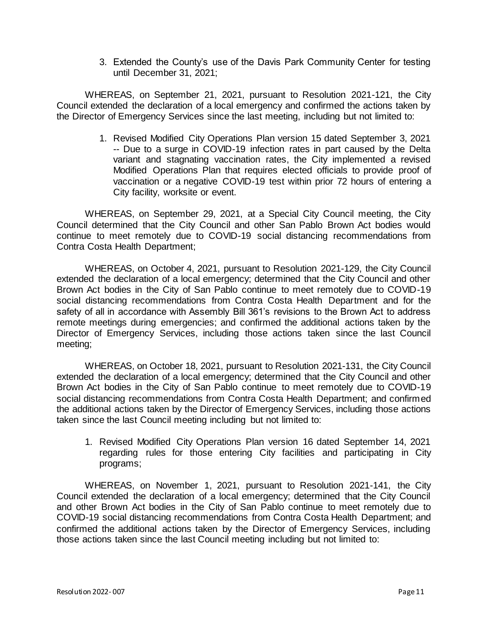3. Extended the County's use of the Davis Park Community Center for testing until December 31, 2021;

WHEREAS, on September 21, 2021, pursuant to Resolution 2021-121, the City Council extended the declaration of a local emergency and confirmed the actions taken by the Director of Emergency Services since the last meeting, including but not limited to:

> 1. Revised Modified City Operations Plan version 15 dated September 3, 2021 -- Due to a surge in COVID-19 infection rates in part caused by the Delta variant and stagnating vaccination rates, the City implemented a revised Modified Operations Plan that requires elected officials to provide proof of vaccination or a negative COVID-19 test within prior 72 hours of entering a City facility, worksite or event.

WHEREAS, on September 29, 2021, at a Special City Council meeting, the City Council determined that the City Council and other San Pablo Brown Act bodies would continue to meet remotely due to COVID-19 social distancing recommendations from Contra Costa Health Department;

WHEREAS, on October 4, 2021, pursuant to Resolution 2021-129, the City Council extended the declaration of a local emergency; determined that the City Council and other Brown Act bodies in the City of San Pablo continue to meet remotely due to COVID-19 social distancing recommendations from Contra Costa Health Department and for the safety of all in accordance with Assembly Bill 361's revisions to the Brown Act to address remote meetings during emergencies; and confirmed the additional actions taken by the Director of Emergency Services, including those actions taken since the last Council meeting;

WHEREAS, on October 18, 2021, pursuant to Resolution 2021-131, the City Council extended the declaration of a local emergency; determined that the City Council and other Brown Act bodies in the City of San Pablo continue to meet remotely due to COVID-19 social distancing recommendations from Contra Costa Health Department; and confirmed the additional actions taken by the Director of Emergency Services, including those actions taken since the last Council meeting including but not limited to:

1. Revised Modified City Operations Plan version 16 dated September 14, 2021 regarding rules for those entering City facilities and participating in City programs;

WHEREAS, on November 1, 2021, pursuant to Resolution 2021-141, the City Council extended the declaration of a local emergency; determined that the City Council and other Brown Act bodies in the City of San Pablo continue to meet remotely due to COVID-19 social distancing recommendations from Contra Costa Health Department; and confirmed the additional actions taken by the Director of Emergency Services, including those actions taken since the last Council meeting including but not limited to: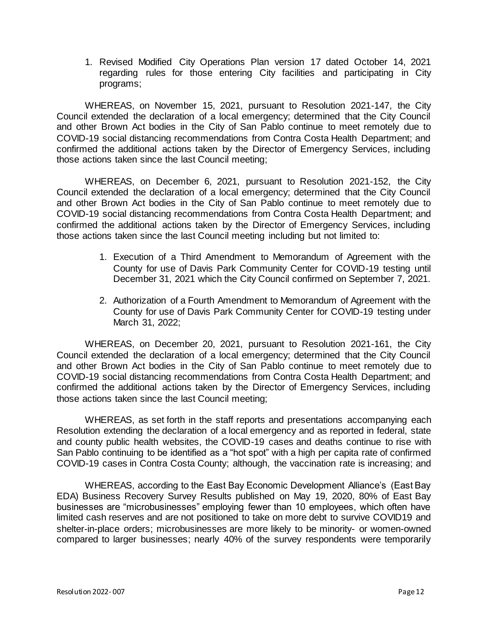1. Revised Modified City Operations Plan version 17 dated October 14, 2021 regarding rules for those entering City facilities and participating in City programs;

WHEREAS, on November 15, 2021, pursuant to Resolution 2021-147, the City Council extended the declaration of a local emergency; determined that the City Council and other Brown Act bodies in the City of San Pablo continue to meet remotely due to COVID-19 social distancing recommendations from Contra Costa Health Department; and confirmed the additional actions taken by the Director of Emergency Services, including those actions taken since the last Council meeting;

WHEREAS, on December 6, 2021, pursuant to Resolution 2021-152, the City Council extended the declaration of a local emergency; determined that the City Council and other Brown Act bodies in the City of San Pablo continue to meet remotely due to COVID-19 social distancing recommendations from Contra Costa Health Department; and confirmed the additional actions taken by the Director of Emergency Services, including those actions taken since the last Council meeting including but not limited to:

- 1. Execution of a Third Amendment to Memorandum of Agreement with the County for use of Davis Park Community Center for COVID-19 testing until December 31, 2021 which the City Council confirmed on September 7, 2021.
- 2. Authorization of a Fourth Amendment to Memorandum of Agreement with the County for use of Davis Park Community Center for COVID-19 testing under March 31, 2022;

WHEREAS, on December 20, 2021, pursuant to Resolution 2021-161, the City Council extended the declaration of a local emergency; determined that the City Council and other Brown Act bodies in the City of San Pablo continue to meet remotely due to COVID-19 social distancing recommendations from Contra Costa Health Department; and confirmed the additional actions taken by the Director of Emergency Services, including those actions taken since the last Council meeting;

WHEREAS, as set forth in the staff reports and presentations accompanying each Resolution extending the declaration of a local emergency and as reported in federal, state and county public health websites, the COVID-19 cases and deaths continue to rise with San Pablo continuing to be identified as a "hot spot" with a high per capita rate of confirmed COVID-19 cases in Contra Costa County; although, the vaccination rate is increasing; and

WHEREAS, according to the East Bay Economic Development Alliance's (East Bay EDA) Business Recovery Survey Results published on May 19, 2020, 80% of East Bay businesses are "microbusinesses" employing fewer than 10 employees, which often have limited cash reserves and are not positioned to take on more debt to survive COVID19 and shelter-in-place orders; microbusinesses are more likely to be minority- or women-owned compared to larger businesses; nearly 40% of the survey respondents were temporarily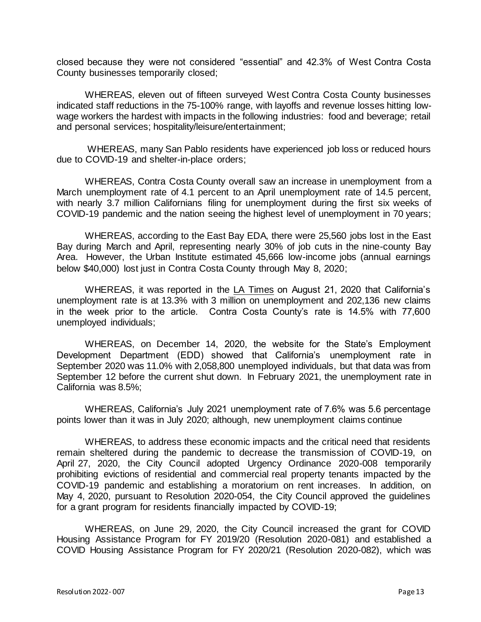closed because they were not considered "essential" and 42.3% of West Contra Costa County businesses temporarily closed;

WHEREAS, eleven out of fifteen surveyed West Contra Costa County businesses indicated staff reductions in the 75-100% range, with layoffs and revenue losses hitting lowwage workers the hardest with impacts in the following industries: food and beverage; retail and personal services; hospitality/leisure/entertainment;

WHEREAS, many San Pablo residents have experienced job loss or reduced hours due to COVID-19 and shelter-in-place orders;

WHEREAS, Contra Costa County overall saw an increase in unemployment from a March unemployment rate of 4.1 percent to an April unemployment rate of 14.5 percent, with nearly 3.7 million Californians filing for unemployment during the first six weeks of COVID-19 pandemic and the nation seeing the highest level of unemployment in 70 years;

WHEREAS, according to the East Bay EDA, there were 25,560 jobs lost in the East Bay during March and April, representing nearly 30% of job cuts in the nine-county Bay Area. However, the Urban Institute estimated 45,666 low-income jobs (annual earnings below \$40,000) lost just in Contra Costa County through May 8, 2020;

WHEREAS, it was reported in the LA Times on August 21, 2020 that California's unemployment rate is at 13.3% with 3 million on unemployment and 202,136 new claims in the week prior to the article. Contra Costa County's rate is 14.5% with 77,600 unemployed individuals;

WHEREAS, on December 14, 2020, the website for the State's Employment Development Department (EDD) showed that California's unemployment rate in September 2020 was 11.0% with 2,058,800 unemployed individuals, but that data was from September 12 before the current shut down. In February 2021, the unemployment rate in California was 8.5%;

WHEREAS, California's July 2021 unemployment rate of 7.6% was 5.6 percentage points lower than it was in July 2020; although, new unemployment claims continue

WHEREAS, to address these economic impacts and the critical need that residents remain sheltered during the pandemic to decrease the transmission of COVID-19, on April 27, 2020, the City Council adopted Urgency Ordinance 2020-008 temporarily prohibiting evictions of residential and commercial real property tenants impacted by the COVID-19 pandemic and establishing a moratorium on rent increases. In addition, on May 4, 2020, pursuant to Resolution 2020-054, the City Council approved the guidelines for a grant program for residents financially impacted by COVID-19;

WHEREAS, on June 29, 2020, the City Council increased the grant for COVID Housing Assistance Program for FY 2019/20 (Resolution 2020-081) and established a COVID Housing Assistance Program for FY 2020/21 (Resolution 2020-082), which was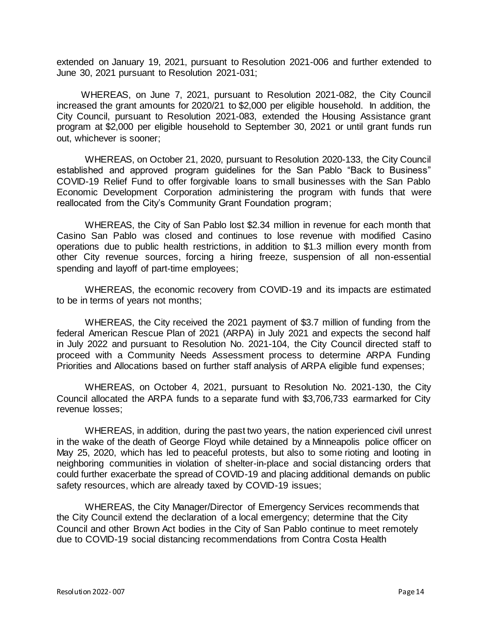extended on January 19, 2021, pursuant to Resolution 2021-006 and further extended to June 30, 2021 pursuant to Resolution 2021-031;

WHEREAS, on June 7, 2021, pursuant to Resolution 2021-082, the City Council increased the grant amounts for 2020/21 to \$2,000 per eligible household. In addition, the City Council, pursuant to Resolution 2021-083, extended the Housing Assistance grant program at \$2,000 per eligible household to September 30, 2021 or until grant funds run out, whichever is sooner;

WHEREAS, on October 21, 2020, pursuant to Resolution 2020-133, the City Council established and approved program guidelines for the San Pablo "Back to Business" COVID-19 Relief Fund to offer forgivable loans to small businesses with the San Pablo Economic Development Corporation administering the program with funds that were reallocated from the City's Community Grant Foundation program;

WHEREAS, the City of San Pablo lost \$2.34 million in revenue for each month that Casino San Pablo was closed and continues to lose revenue with modified Casino operations due to public health restrictions, in addition to \$1.3 million every month from other City revenue sources, forcing a hiring freeze, suspension of all non-essential spending and layoff of part-time employees;

WHEREAS, the economic recovery from COVID-19 and its impacts are estimated to be in terms of years not months;

WHEREAS, the City received the 2021 payment of \$3.7 million of funding from the federal American Rescue Plan of 2021 (ARPA) in July 2021 and expects the second half in July 2022 and pursuant to Resolution No. 2021-104, the City Council directed staff to proceed with a Community Needs Assessment process to determine ARPA Funding Priorities and Allocations based on further staff analysis of ARPA eligible fund expenses;

WHEREAS, on October 4, 2021, pursuant to Resolution No. 2021-130, the City Council allocated the ARPA funds to a separate fund with \$3,706,733 earmarked for City revenue losses;

WHEREAS, in addition, during the past two years, the nation experienced civil unrest in the wake of the death of George Floyd while detained by a Minneapolis police officer on May 25, 2020, which has led to peaceful protests, but also to some rioting and looting in neighboring communities in violation of shelter-in-place and social distancing orders that could further exacerbate the spread of COVID-19 and placing additional demands on public safety resources, which are already taxed by COVID-19 issues;

WHEREAS, the City Manager/Director of Emergency Services recommends that the City Council extend the declaration of a local emergency; determine that the City Council and other Brown Act bodies in the City of San Pablo continue to meet remotely due to COVID-19 social distancing recommendations from Contra Costa Health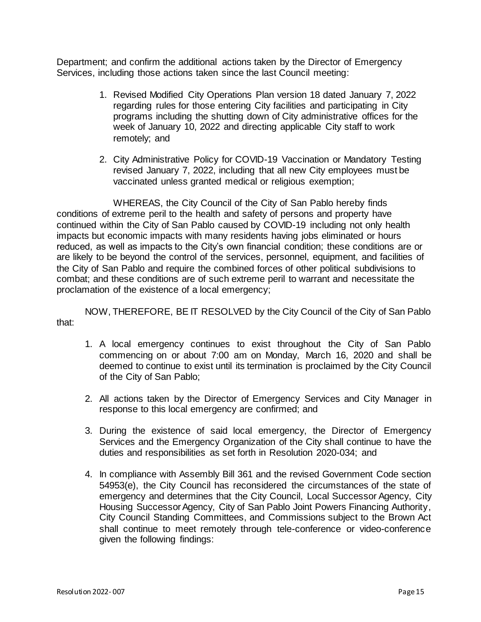Department; and confirm the additional actions taken by the Director of Emergency Services, including those actions taken since the last Council meeting:

- 1. Revised Modified City Operations Plan version 18 dated January 7, 2022 regarding rules for those entering City facilities and participating in City programs including the shutting down of City administrative offices for the week of January 10, 2022 and directing applicable City staff to work remotely; and
- 2. City Administrative Policy for COVID-19 Vaccination or Mandatory Testing revised January 7, 2022, including that all new City employees must be vaccinated unless granted medical or religious exemption;

WHEREAS, the City Council of the City of San Pablo hereby finds conditions of extreme peril to the health and safety of persons and property have continued within the City of San Pablo caused by COVID-19 including not only health impacts but economic impacts with many residents having jobs eliminated or hours reduced, as well as impacts to the City's own financial condition; these conditions are or are likely to be beyond the control of the services, personnel, equipment, and facilities of the City of San Pablo and require the combined forces of other political subdivisions to combat; and these conditions are of such extreme peril to warrant and necessitate the proclamation of the existence of a local emergency;

NOW, THEREFORE, BE IT RESOLVED by the City Council of the City of San Pablo that:

- 1. A local emergency continues to exist throughout the City of San Pablo commencing on or about 7:00 am on Monday, March 16, 2020 and shall be deemed to continue to exist until its termination is proclaimed by the City Council of the City of San Pablo;
- 2. All actions taken by the Director of Emergency Services and City Manager in response to this local emergency are confirmed; and
- 3. During the existence of said local emergency, the Director of Emergency Services and the Emergency Organization of the City shall continue to have the duties and responsibilities as set forth in Resolution 2020-034; and
- 4. In compliance with Assembly Bill 361 and the revised Government Code section 54953(e), the City Council has reconsidered the circumstances of the state of emergency and determines that the City Council, Local Successor Agency, City Housing Successor Agency, City of San Pablo Joint Powers Financing Authority, City Council Standing Committees, and Commissions subject to the Brown Act shall continue to meet remotely through tele-conference or video-conference given the following findings: